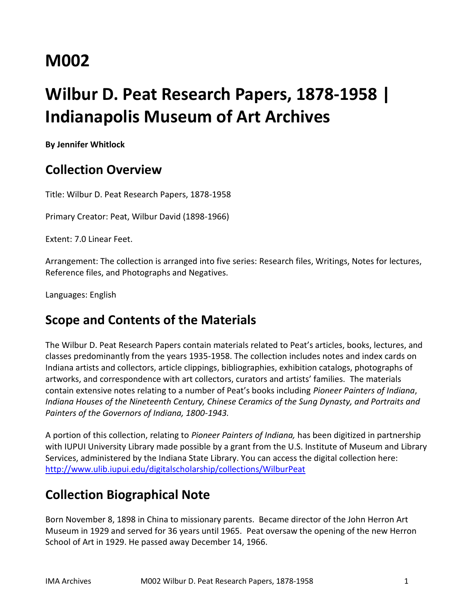# **M002**

# **Wilbur D. Peat Research Papers, 1878-1958 | Indianapolis Museum of Art Archives**

**By Jennifer Whitlock**

# **Collection Overview**

Title: Wilbur D. Peat Research Papers, 1878-1958

Primary Creator: Peat, Wilbur David (1898-1966)

Extent: 7.0 Linear Feet.

Arrangement: The collection is arranged into five series: Research files, Writings, Notes for lectures, Reference files, and Photographs and Negatives.

Languages: English

# **Scope and Contents of the Materials**

The Wilbur D. Peat Research Papers contain materials related to Peat's articles, books, lectures, and classes predominantly from the years 1935-1958. The collection includes notes and index cards on Indiana artists and collectors, article clippings, bibliographies, exhibition catalogs, photographs of artworks, and correspondence with art collectors, curators and artists' families. The materials contain extensive notes relating to a number of Peat's books including *Pioneer Painters of Indiana*, *Indiana Houses of the Nineteenth Century, Chinese Ceramics of the Sung Dynasty, and Portraits and Painters of the Governors of Indiana, 1800-1943.* 

A portion of this collection, relating to *Pioneer Painters of Indiana,* has been digitized in partnership with IUPUI University Library made possible by a grant from the U.S. Institute of Museum and Library Services, administered by the Indiana State Library. You can access the digital collection here: <http://www.ulib.iupui.edu/digitalscholarship/collections/WilburPeat>

# **Collection Biographical Note**

Born November 8, 1898 in China to missionary parents. Became director of the John Herron Art Museum in 1929 and served for 36 years until 1965. Peat oversaw the opening of the new Herron School of Art in 1929. He passed away December 14, 1966.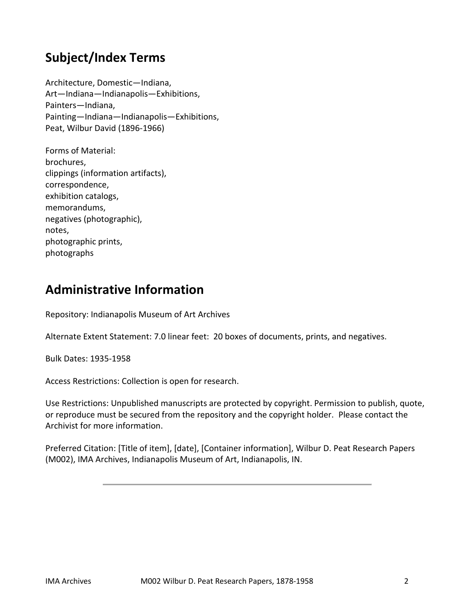# **Subject/Index Terms**

Architecture, Domestic—Indiana, Art—Indiana—Indianapolis—Exhibitions, Painters—Indiana, Painting—Indiana—Indianapolis—Exhibitions, Peat, Wilbur David (1896-1966)

Forms of Material: brochures, clippings (information artifacts), correspondence, exhibition catalogs, memorandums, negatives (photographic), notes, photographic prints, photographs

# **Administrative Information**

Repository: Indianapolis Museum of Art Archives

Alternate Extent Statement: 7.0 linear feet: 20 boxes of documents, prints, and negatives.

Bulk Dates: 1935-1958

Access Restrictions: Collection is open for research.

Use Restrictions: Unpublished manuscripts are protected by copyright. Permission to publish, quote, or reproduce must be secured from the repository and the copyright holder. Please contact the Archivist for more information.

Preferred Citation: [Title of item], [date], [Container information], Wilbur D. Peat Research Papers (M002), IMA Archives, Indianapolis Museum of Art, Indianapolis, IN.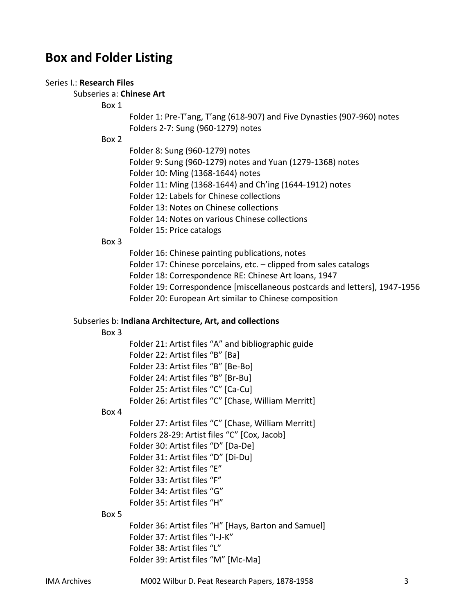# **Box and Folder Listing**

### Series I.: **Research Files**

## Subseries a: **Chinese Art**

Box 1

Folder 1: Pre-T'ang, T'ang (618-907) and Five Dynasties (907-960) notes Folders 2-7: Sung (960-1279) notes

Box 2

- Folder 8: Sung (960-1279) notes
- Folder 9: Sung (960-1279) notes and Yuan (1279-1368) notes
- Folder 10: Ming (1368-1644) notes
- Folder 11: Ming (1368-1644) and Ch'ing (1644-1912) notes
- Folder 12: Labels for Chinese collections
- Folder 13: Notes on Chinese collections
- Folder 14: Notes on various Chinese collections
- Folder 15: Price catalogs

## Box 3

Folder 16: Chinese painting publications, notes

- Folder 17: Chinese porcelains, etc. clipped from sales catalogs
- Folder 18: Correspondence RE: Chinese Art loans, 1947
- Folder 19: Correspondence [miscellaneous postcards and letters], 1947-1956
- Folder 20: European Art similar to Chinese composition

#### Subseries b: **Indiana Architecture, Art, and collections**

#### Box 3

Folder 21: Artist files "A" and bibliographic guide Folder 22: Artist files "B" [Ba] Folder 23: Artist files "B" [Be-Bo] Folder 24: Artist files "B" [Br-Bu] Folder 25: Artist files "C" [Ca-Cu] Folder 26: Artist files "C" [Chase, William Merritt]

#### Box 4

Folder 27: Artist files "C" [Chase, William Merritt] Folders 28-29: Artist files "C" [Cox, Jacob] Folder 30: Artist files "D" [Da-De] Folder 31: Artist files "D" [Di-Du] Folder 32: Artist files "E" Folder 33: Artist files "F" Folder 34: Artist files "G" Folder 35: Artist files "H"

#### Box 5

Folder 36: Artist files "H" [Hays, Barton and Samuel] Folder 37: Artist files "I-J-K" Folder 38: Artist files "L" Folder 39: Artist files "M" [Mc-Ma]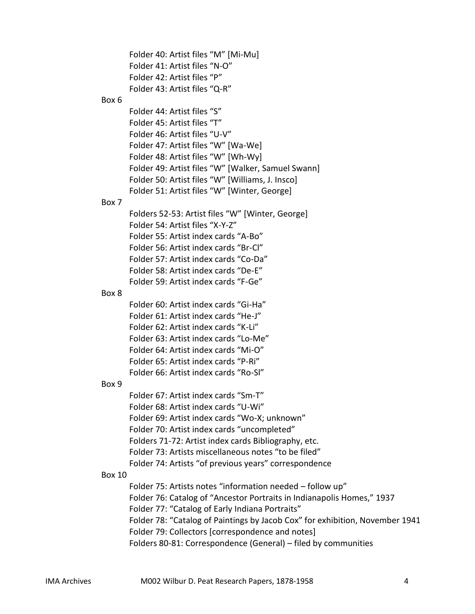Folder 40: Artist files "M" [Mi-Mu] Folder 41: Artist files "N-O" Folder 42: Artist files "P" Folder 43: Artist files "Q-R" Box 6 Folder 44: Artist files "S" Folder 45: Artist files "T" Folder 46: Artist files "U-V" Folder 47: Artist files "W" [Wa-We] Folder 48: Artist files "W" [Wh-Wy] Folder 49: Artist files "W" [Walker, Samuel Swann] Folder 50: Artist files "W" [Williams, J. Insco] Folder 51: Artist files "W" [Winter, George] Box 7 Folders 52-53: Artist files "W" [Winter, George] Folder 54: Artist files "X-Y-Z" Folder 55: Artist index cards "A-Bo" Folder 56: Artist index cards "Br-Cl" Folder 57: Artist index cards "Co-Da" Folder 58: Artist index cards "De-E" Folder 59: Artist index cards "F-Ge" Box 8 Folder 60: Artist index cards "Gi-Ha" Folder 61: Artist index cards "He-J" Folder 62: Artist index cards "K-Li" Folder 63: Artist index cards "Lo-Me" Folder 64: Artist index cards "Mi-O" Folder 65: Artist index cards "P-Ri" Folder 66: Artist index cards "Ro-Sl" Box 9 Folder 67: Artist index cards "Sm-T" Folder 68: Artist index cards "U-Wi" Folder 69: Artist index cards "Wo-X; unknown" Folder 70: Artist index cards "uncompleted" Folders 71-72: Artist index cards Bibliography, etc. Folder 73: Artists miscellaneous notes "to be filed" Folder 74: Artists "of previous years" correspondence Box 10 Folder 75: Artists notes "information needed – follow up" Folder 76: Catalog of "Ancestor Portraits in Indianapolis Homes," 1937 Folder 77: "Catalog of Early Indiana Portraits" Folder 78: "Catalog of Paintings by Jacob Cox" for exhibition, November 1941 Folder 79: Collectors [correspondence and notes] Folders 80-81: Correspondence (General) – filed by communities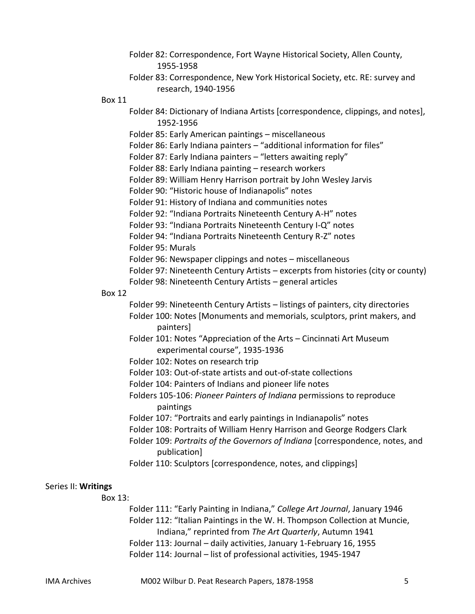|           | Folder 82: Correspondence, Fort Wayne Historical Society, Allen County, |
|-----------|-------------------------------------------------------------------------|
| 1955-1958 |                                                                         |

Folder 83: Correspondence, New York Historical Society, etc. RE: survey and research, 1940-1956

Box 11

- Folder 84: Dictionary of Indiana Artists [correspondence, clippings, and notes], 1952-1956
- Folder 85: Early American paintings miscellaneous
- Folder 86: Early Indiana painters "additional information for files"
- Folder 87: Early Indiana painters "letters awaiting reply"
- Folder 88: Early Indiana painting research workers
- Folder 89: William Henry Harrison portrait by John Wesley Jarvis
- Folder 90: "Historic house of Indianapolis" notes
- Folder 91: History of Indiana and communities notes
- Folder 92: "Indiana Portraits Nineteenth Century A-H" notes
- Folder 93: "Indiana Portraits Nineteenth Century I-Q" notes
- Folder 94: "Indiana Portraits Nineteenth Century R-Z" notes
- Folder 95: Murals
- Folder 96: Newspaper clippings and notes miscellaneous
- Folder 97: Nineteenth Century Artists excerpts from histories (city or county)
- Folder 98: Nineteenth Century Artists general articles

### Box 12

- Folder 99: Nineteenth Century Artists listings of painters, city directories Folder 100: Notes [Monuments and memorials, sculptors, print makers, and painters]
- Folder 101: Notes "Appreciation of the Arts Cincinnati Art Museum experimental course", 1935-1936
- Folder 102: Notes on research trip
- Folder 103: Out-of-state artists and out-of-state collections
- Folder 104: Painters of Indians and pioneer life notes
- Folders 105-106: *Pioneer Painters of Indiana* permissions to reproduce paintings
- Folder 107: "Portraits and early paintings in Indianapolis" notes
- Folder 108: Portraits of William Henry Harrison and George Rodgers Clark
- Folder 109: *Portraits of the Governors of Indiana* [correspondence, notes, and publication]
- Folder 110: Sculptors [correspondence, notes, and clippings]

## Series II: **Writings**

Box 13:

Folder 111: "Early Painting in Indiana," *College Art Journal*, January 1946 Folder 112: "Italian Paintings in the W. H. Thompson Collection at Muncie, Indiana," reprinted from *The Art Quarterly*, Autumn 1941 Folder 113: Journal – daily activities, January 1-February 16, 1955 Folder 114: Journal – list of professional activities, 1945-1947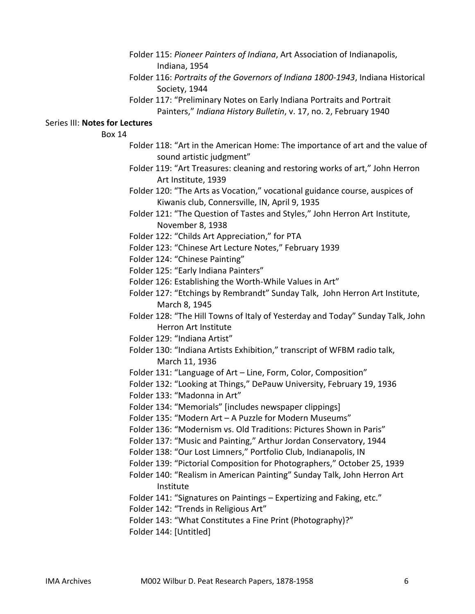- Folder 115: *Pioneer Painters of Indiana*, Art Association of Indianapolis, Indiana, 1954
- Folder 116: *Portraits of the Governors of Indiana 1800-1943*, Indiana Historical Society, 1944
- Folder 117: "Preliminary Notes on Early Indiana Portraits and Portrait Painters," *Indiana History Bulletin*, v. 17, no. 2, February 1940

## Series III: **Notes for Lectures**

Box 14

- Folder 118: "Art in the American Home: The importance of art and the value of sound artistic judgment"
- Folder 119: "Art Treasures: cleaning and restoring works of art," John Herron Art Institute, 1939
- Folder 120: "The Arts as Vocation," vocational guidance course, auspices of Kiwanis club, Connersville, IN, April 9, 1935
- Folder 121: "The Question of Tastes and Styles," John Herron Art Institute, November 8, 1938
- Folder 122: "Childs Art Appreciation," for PTA
- Folder 123: "Chinese Art Lecture Notes," February 1939
- Folder 124: "Chinese Painting"
- Folder 125: "Early Indiana Painters"
- Folder 126: Establishing the Worth-While Values in Art"
- Folder 127: "Etchings by Rembrandt" Sunday Talk, John Herron Art Institute, March 8, 1945
- Folder 128: "The Hill Towns of Italy of Yesterday and Today" Sunday Talk, John Herron Art Institute
- Folder 129: "Indiana Artist"
- Folder 130: "Indiana Artists Exhibition," transcript of WFBM radio talk, March 11, 1936
- Folder 131: "Language of Art Line, Form, Color, Composition"
- Folder 132: "Looking at Things," DePauw University, February 19, 1936
- Folder 133: "Madonna in Art"
- Folder 134: "Memorials" [includes newspaper clippings]
- Folder 135: "Modern Art A Puzzle for Modern Museums"
- Folder 136: "Modernism vs. Old Traditions: Pictures Shown in Paris"
- Folder 137: "Music and Painting," Arthur Jordan Conservatory, 1944
- Folder 138: "Our Lost Limners," Portfolio Club, Indianapolis, IN
- Folder 139: "Pictorial Composition for Photographers," October 25, 1939
- Folder 140: "Realism in American Painting" Sunday Talk, John Herron Art Institute
- Folder 141: "Signatures on Paintings Expertizing and Faking, etc."
- Folder 142: "Trends in Religious Art"
- Folder 143: "What Constitutes a Fine Print (Photography)?"
- Folder 144: [Untitled]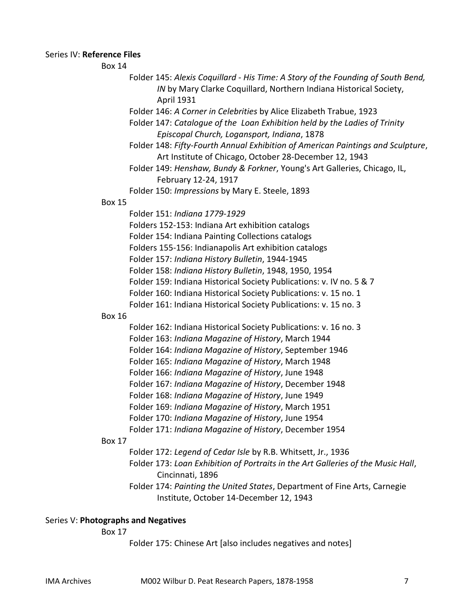# Series IV: **Reference Files**

Box 14

- Folder 145: *Alexis Coquillard - His Time: A Story of the Founding of South Bend, IN* by Mary Clarke Coquillard, Northern Indiana Historical Society, April 1931
- Folder 146: *A Corner in Celebrities* by Alice Elizabeth Trabue, 1923
- Folder 147: *Catalogue of the Loan Exhibition held by the Ladies of Trinity Episcopal Church, Logansport, Indiana*, 1878
- Folder 148: *Fifty-Fourth Annual Exhibition of American Paintings and Sculpture*, Art Institute of Chicago, October 28-December 12, 1943
- Folder 149: *Henshaw, Bundy & Forkner*, Young's Art Galleries, Chicago, IL, February 12-24, 1917
- Folder 150: *Impressions* by Mary E. Steele, 1893

## Box 15

- Folder 151: *Indiana 1779-1929*
- Folders 152-153: Indiana Art exhibition catalogs
- Folder 154: Indiana Painting Collections catalogs
- Folders 155-156: Indianapolis Art exhibition catalogs
- Folder 157: *Indiana History Bulletin*, 1944-1945
- Folder 158: *Indiana History Bulletin*, 1948, 1950, 1954
- Folder 159: Indiana Historical Society Publications: v. IV no. 5 & 7
- Folder 160: Indiana Historical Society Publications: v. 15 no. 1
- Folder 161: Indiana Historical Society Publications: v. 15 no. 3

## Box 16

- Folder 162: Indiana Historical Society Publications: v. 16 no. 3
- Folder 163: *Indiana Magazine of History*, March 1944
- Folder 164: *Indiana Magazine of History*, September 1946
- Folder 165: *Indiana Magazine of History*, March 1948
- Folder 166: *Indiana Magazine of History*, June 1948
- Folder 167: *Indiana Magazine of History*, December 1948
- Folder 168: *Indiana Magazine of History*, June 1949
- Folder 169: *Indiana Magazine of History*, March 1951
- Folder 170: *Indiana Magazine of History*, June 1954
- Folder 171: *Indiana Magazine of History*, December 1954

#### Box 17

- Folder 172: *Legend of Cedar Isle* by R.B. Whitsett, Jr., 1936
- Folder 173: *Loan Exhibition of Portraits in the Art Galleries of the Music Hall*, Cincinnati, 1896
- Folder 174: *Painting the United States*, Department of Fine Arts, Carnegie Institute, October 14-December 12, 1943

# Series V: **Photographs and Negatives**

Box 17

Folder 175: Chinese Art [also includes negatives and notes]